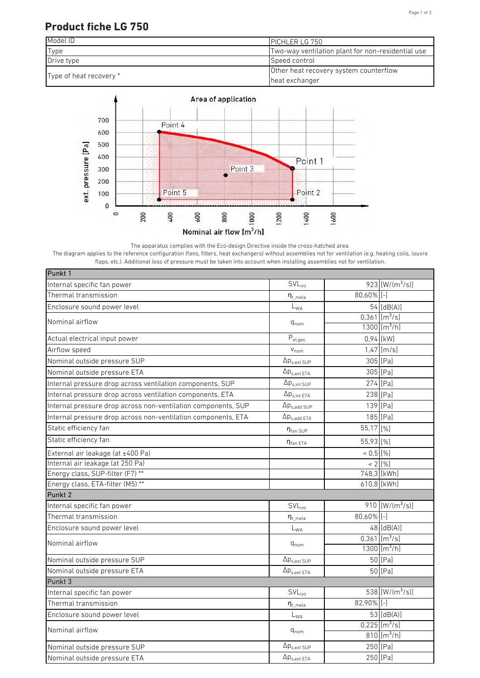## Page 1 of 2

## **Product fiche LG 750**





The apparatus complies with the Eco-design Directive inside the cross-hatched area. The diagram applies to the reference configuration (fans, filters, heat exchangers) without assemblies not for ventilation (e.g. heating coils, louvre flaps, etc.). Additional loss of pressure must be taken into account when installing assemblies not for ventilation.

| Punkt 1                                                       |                            |               |                             |
|---------------------------------------------------------------|----------------------------|---------------|-----------------------------|
| Internal specific fan power                                   | $SVL_{int}$                |               | 923 [W/(m <sup>3</sup> /s)] |
| Thermal transmission                                          | $\eta_{t\_nwla}$           | $80,60\%$ [-] |                             |
| Enclosure sound power level                                   | $L_{WA}$                   |               | 54 [dB(A)]                  |
| Nominal airflow                                               |                            |               | $0,361$ [m <sup>3</sup> /s] |
|                                                               | $q_{nom}$                  |               | $1300$ [m <sup>3</sup> /h]  |
| Actual electrical input power                                 | $P_{el,ges}$               |               | 0,94 [kW]                   |
| Airflow speed                                                 | $V_{nom}$                  |               | $1,47$ [m/s]                |
| Nominal outside pressure SUP                                  | $\Delta p_{s,ext SUP}$     |               | 305 [Pa]                    |
| Nominal outside pressure ETA                                  | $\Delta p_{s,ext\ ETA}$    |               | 305 [Pa]                    |
| Internal pressure drop across ventilation components, SUP     | $\Delta p_{s,int SUP}$     |               | 274 [Pa]                    |
| Internal pressure drop across ventilation components, ETA     | $\Delta p_{s,int ETA}$     |               | 238 [Pa]                    |
| Internal pressure drop across non-ventilation components, SUP | $\Delta p_{s,add~SUP}$     |               | 139 [Pa]                    |
| Internal pressure drop across non-ventilation components, ETA | $\Delta p_{s.add ETA}$     |               | 185 [Pa]                    |
| Static efficiency fan                                         | $\eta_{\text{fan SUP}}$    | 55,17 [%]     |                             |
| Static efficiency fan                                         | $n_{fan ETA}$              | 55,93 [%]     |                             |
| External air leakage (at ±400 Pa)                             |                            | $< 0.5$ [%]   |                             |
| Internal air leakage (at 250 Pa)                              |                            |               | $< 2$ [%]                   |
| Energy class, SUP-filter (F7) **                              |                            |               | 748,3 [kWh]                 |
| Energy class, ETA-filter (M5) **                              |                            |               | 610,8 [kWh]                 |
| Punkt 2                                                       |                            |               |                             |
| Internal specific fan power                                   | $SVL_{int}$                |               | 910 $[W/(m^3/s)]$           |
| Thermal transmission                                          | $\eta_{t\_nwla}$           | $80,60\%$ [-] |                             |
| Enclosure sound power level                                   | $L_{\rm WA}$               |               | $48$ [dB(A)]                |
| Nominal airflow                                               | $q_{nom}$                  |               | $0,361$ [m <sup>3</sup> /s] |
|                                                               |                            |               | $1300$ [m <sup>3</sup> /h]  |
| Nominal outside pressure SUP                                  | $\Delta p_{s,ext SUP}$     |               | 50 [Pa]                     |
| Nominal outside pressure ETA                                  | $\Delta p_{s,ext\ ETA}$    |               | 50 [Pa]                     |
| Punkt 3                                                       |                            |               |                             |
| Internal specific fan power                                   | <b>SVL</b> <sub>int</sub>  |               | 538 $\sqrt{W/(m^3/s)}$      |
| Thermal transmission                                          | $n_{t}$ <sub>nwla</sub>    | 82,90% [-]    |                             |
| Enclosure sound power level                                   | $\mathsf{L}_{\mathsf{WA}}$ |               | 53 $[dB(A)]$                |
| Nominal airflow                                               | $q_{nom}$                  |               | $0,225$ [m <sup>3</sup> /s] |
|                                                               |                            |               | $810$ [m <sup>3</sup> /h]   |
| Nominal outside pressure SUP                                  | $\Delta p_{s,ext SUP}$     |               | 250 [Pa]                    |
| Nominal outside pressure ETA                                  | $\Delta p_{s,ext ETA}$     |               | 250 [Pa]                    |